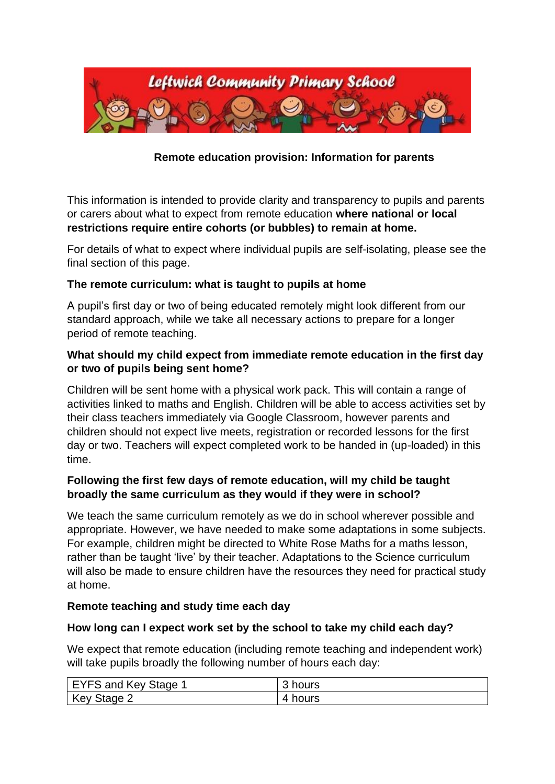

## **Remote education provision: Information for parents**

This information is intended to provide clarity and transparency to pupils and parents or carers about what to expect from remote education **where national or local restrictions require entire cohorts (or bubbles) to remain at home.**

For details of what to expect where individual pupils are self-isolating, please see the final section of this page.

#### **The remote curriculum: what is taught to pupils at home**

A pupil's first day or two of being educated remotely might look different from our standard approach, while we take all necessary actions to prepare for a longer period of remote teaching.

#### **What should my child expect from immediate remote education in the first day or two of pupils being sent home?**

Children will be sent home with a physical work pack. This will contain a range of activities linked to maths and English. Children will be able to access activities set by their class teachers immediately via Google Classroom, however parents and children should not expect live meets, registration or recorded lessons for the first day or two. Teachers will expect completed work to be handed in (up-loaded) in this time.

### **Following the first few days of remote education, will my child be taught broadly the same curriculum as they would if they were in school?**

We teach the same curriculum remotely as we do in school wherever possible and appropriate. However, we have needed to make some adaptations in some subjects. For example, children might be directed to White Rose Maths for a maths lesson, rather than be taught 'live' by their teacher. Adaptations to the Science curriculum will also be made to ensure children have the resources they need for practical study at home.

#### **Remote teaching and study time each day**

#### **How long can I expect work set by the school to take my child each day?**

We expect that remote education (including remote teaching and independent work) will take pupils broadly the following number of hours each day:

| EYFS and Key Stage 1 | 3 hours    |
|----------------------|------------|
| Key Stage 2          | hours<br>4 |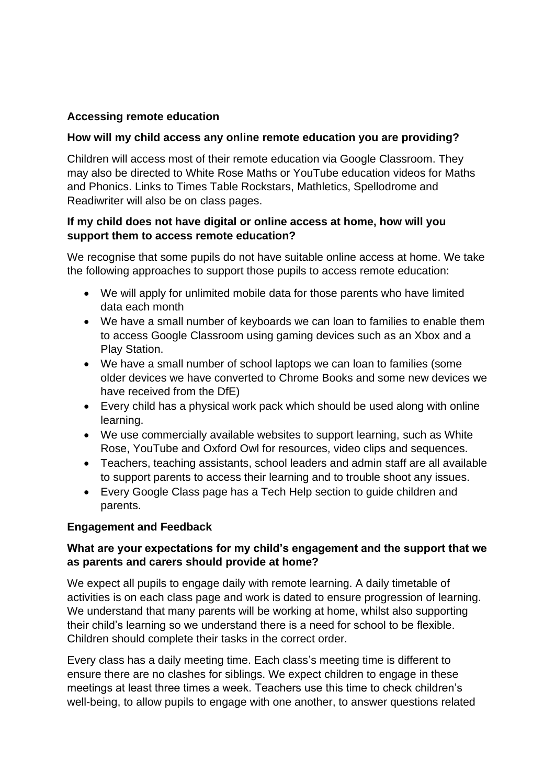### **Accessing remote education**

#### **How will my child access any online remote education you are providing?**

Children will access most of their remote education via Google Classroom. They may also be directed to White Rose Maths or YouTube education videos for Maths and Phonics. Links to Times Table Rockstars, Mathletics, Spellodrome and Readiwriter will also be on class pages.

#### **If my child does not have digital or online access at home, how will you support them to access remote education?**

We recognise that some pupils do not have suitable online access at home. We take the following approaches to support those pupils to access remote education:

- We will apply for unlimited mobile data for those parents who have limited data each month
- We have a small number of keyboards we can loan to families to enable them to access Google Classroom using gaming devices such as an Xbox and a Play Station.
- We have a small number of school laptops we can loan to families (some older devices we have converted to Chrome Books and some new devices we have received from the DfE)
- Every child has a physical work pack which should be used along with online learning.
- We use commercially available websites to support learning, such as White Rose, YouTube and Oxford Owl for resources, video clips and sequences.
- Teachers, teaching assistants, school leaders and admin staff are all available to support parents to access their learning and to trouble shoot any issues.
- Every Google Class page has a Tech Help section to guide children and parents.

### **Engagement and Feedback**

### **What are your expectations for my child's engagement and the support that we as parents and carers should provide at home?**

We expect all pupils to engage daily with remote learning. A daily timetable of activities is on each class page and work is dated to ensure progression of learning. We understand that many parents will be working at home, whilst also supporting their child's learning so we understand there is a need for school to be flexible. Children should complete their tasks in the correct order.

Every class has a daily meeting time. Each class's meeting time is different to ensure there are no clashes for siblings. We expect children to engage in these meetings at least three times a week. Teachers use this time to check children's well-being, to allow pupils to engage with one another, to answer questions related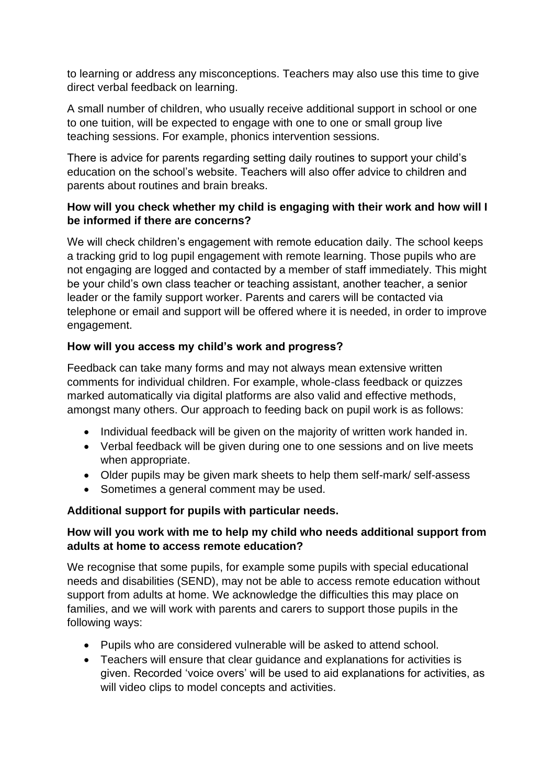to learning or address any misconceptions. Teachers may also use this time to give direct verbal feedback on learning.

A small number of children, who usually receive additional support in school or one to one tuition, will be expected to engage with one to one or small group live teaching sessions. For example, phonics intervention sessions.

There is advice for parents regarding setting daily routines to support your child's education on the school's website. Teachers will also offer advice to children and parents about routines and brain breaks.

## **How will you check whether my child is engaging with their work and how will I be informed if there are concerns?**

We will check children's engagement with remote education daily. The school keeps a tracking grid to log pupil engagement with remote learning. Those pupils who are not engaging are logged and contacted by a member of staff immediately. This might be your child's own class teacher or teaching assistant, another teacher, a senior leader or the family support worker. Parents and carers will be contacted via telephone or email and support will be offered where it is needed, in order to improve engagement.

# **How will you access my child's work and progress?**

Feedback can take many forms and may not always mean extensive written comments for individual children. For example, whole-class feedback or quizzes marked automatically via digital platforms are also valid and effective methods, amongst many others. Our approach to feeding back on pupil work is as follows:

- Individual feedback will be given on the majority of written work handed in.
- Verbal feedback will be given during one to one sessions and on live meets when appropriate.
- Older pupils may be given mark sheets to help them self-mark/ self-assess
- Sometimes a general comment may be used.

# **Additional support for pupils with particular needs.**

# **How will you work with me to help my child who needs additional support from adults at home to access remote education?**

We recognise that some pupils, for example some pupils with special educational needs and disabilities (SEND), may not be able to access remote education without support from adults at home. We acknowledge the difficulties this may place on families, and we will work with parents and carers to support those pupils in the following ways:

- Pupils who are considered vulnerable will be asked to attend school.
- Teachers will ensure that clear guidance and explanations for activities is given. Recorded 'voice overs' will be used to aid explanations for activities, as will video clips to model concepts and activities.